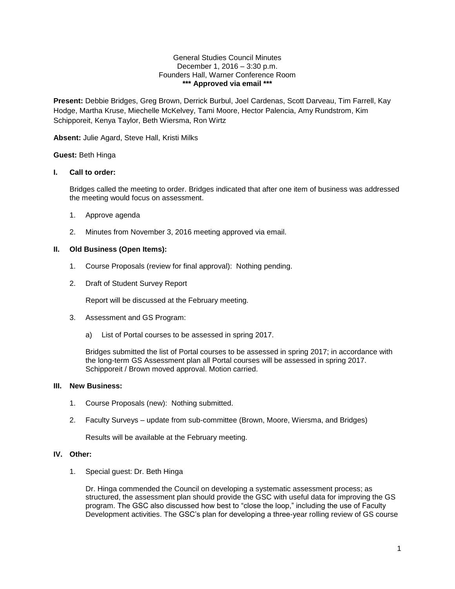#### General Studies Council Minutes December 1, 2016 – 3:30 p.m. Founders Hall, Warner Conference Room **\*\*\* Approved via email \*\*\***

**Present:** Debbie Bridges, Greg Brown, Derrick Burbul, Joel Cardenas, Scott Darveau, Tim Farrell, Kay Hodge, Martha Kruse, Miechelle McKelvey, Tami Moore, Hector Palencia, Amy Rundstrom, Kim Schipporeit, Kenya Taylor, Beth Wiersma, Ron Wirtz

**Absent:** Julie Agard, Steve Hall, Kristi Milks

### **Guest:** Beth Hinga

### **I. Call to order:**

Bridges called the meeting to order. Bridges indicated that after one item of business was addressed the meeting would focus on assessment.

- 1. Approve agenda
- 2. Minutes from November 3, 2016 meeting approved via email.

### **II. Old Business (Open Items):**

- 1. Course Proposals (review for final approval): Nothing pending.
- 2. Draft of Student Survey Report

Report will be discussed at the February meeting.

- 3. Assessment and GS Program:
	- a) List of Portal courses to be assessed in spring 2017.

Bridges submitted the list of Portal courses to be assessed in spring 2017; in accordance with the long-term GS Assessment plan all Portal courses will be assessed in spring 2017. Schipporeit / Brown moved approval. Motion carried.

#### **III. New Business:**

- 1. Course Proposals (new): Nothing submitted.
- 2. Faculty Surveys update from sub-committee (Brown, Moore, Wiersma, and Bridges)

Results will be available at the February meeting.

## **IV. Other:**

1. Special guest: Dr. Beth Hinga

Dr. Hinga commended the Council on developing a systematic assessment process; as structured, the assessment plan should provide the GSC with useful data for improving the GS program. The GSC also discussed how best to "close the loop," including the use of Faculty Development activities. The GSC's plan for developing a three-year rolling review of GS course